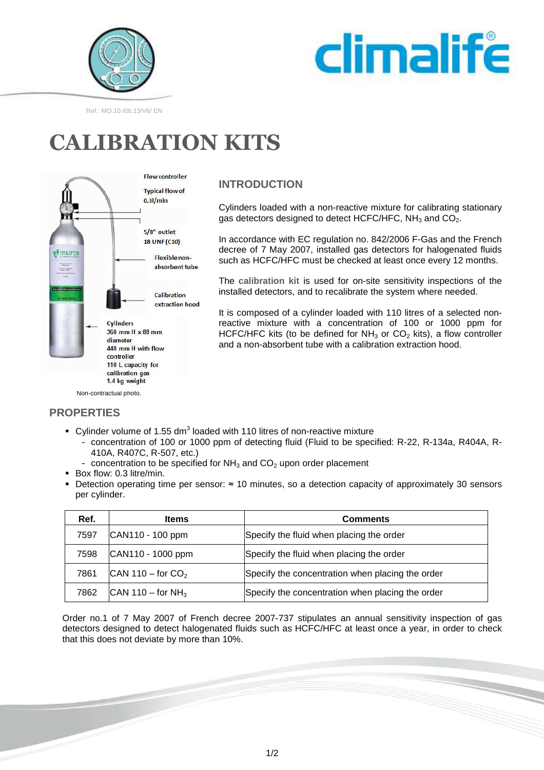



#### Ref.: MO.10 /06.13/V6/ EN

# **CALIBRATION KITS**



### **INTRODUCTION**

Cylinders loaded with a non-reactive mixture for calibrating stationary gas detectors designed to detect HCFC/HFC,  $NH<sub>3</sub>$  and  $CO<sub>2</sub>$ .

In accordance with EC regulation no. 842/2006 F-Gas and the French decree of 7 May 2007, installed gas detectors for halogenated fluids such as HCFC/HFC must be checked at least once every 12 months.

The **calibration kit** is used for on-site sensitivity inspections of the installed detectors, and to recalibrate the system where needed.

It is composed of a cylinder loaded with 110 litres of a selected nonreactive mixture with a concentration of 100 or 1000 ppm for HCFC/HFC kits (to be defined for  $NH<sub>3</sub>$  or CO<sub>2</sub> kits), a flow controller and a non-absorbent tube with a calibration extraction hood.

### **PROPERTIES**

- $\bullet$  Cylinder volume of 1.55 dm<sup>3</sup> loaded with 110 litres of non-reactive mixture
	- concentration of 100 or 1000 ppm of detecting fluid (Fluid to be specified: R-22, R-134a, R404A, R-410A, R407C, R-507, etc.)
		- concentration to be specified for  $NH<sub>3</sub>$  and  $CO<sub>2</sub>$  upon order placement
- Box flow: 0.3 litre/min.
- Detection operating time per sensor: ≈ 10 minutes, so a detection capacity of approximately 30 sensors per cylinder.

| Ref. | <b>Items</b>                  | <b>Comments</b>                                  |
|------|-------------------------------|--------------------------------------------------|
| 7597 | CAN110 - 100 ppm              | Specify the fluid when placing the order         |
| 7598 | CAN110 - 1000 ppm             | Specify the fluid when placing the order         |
| 7861 | CAN 110 – for $CO2$           | Specify the concentration when placing the order |
| 7862 | CAN 110 – for NH <sub>3</sub> | Specify the concentration when placing the order |

Order no.1 of 7 May 2007 of French decree 2007-737 stipulates an annual sensitivity inspection of gas detectors designed to detect halogenated fluids such as HCFC/HFC at least once a year, in order to check that this does not deviate by more than 10%.